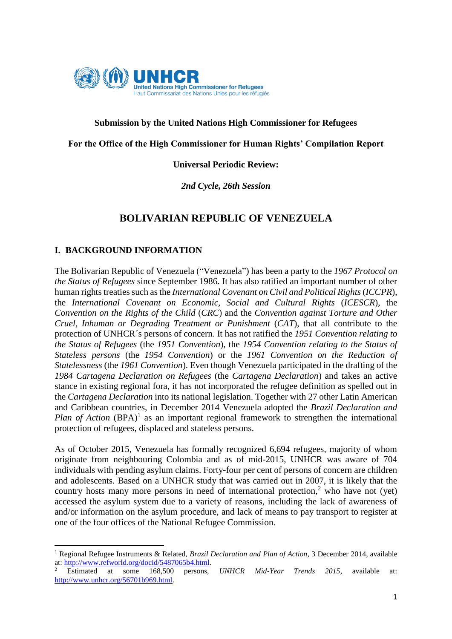

## **Submission by the United Nations High Commissioner for Refugees**

#### **For the Office of the High Commissioner for Human Rights' Compilation Report**

#### **Universal Periodic Review:**

#### *2nd Cycle, 26th Session*

## **BOLIVARIAN REPUBLIC OF VENEZUELA**

#### **I. BACKGROUND INFORMATION**

**.** 

The Bolivarian Republic of Venezuela ("Venezuela") has been a party to the *1967 Protocol on the Status of Refugees* since September 1986. It has also ratified an important number of other human rights treaties such as the *International Covenant on Civil and Political Rights (ICCPR)*, the *International Covenant on Economic, Social and Cultural Rights* (*ICESCR*), the *Convention on the Rights of the Child* (*CRC*) and the *Convention against Torture and Other Cruel, Inhuman or Degrading Treatment or Punishment* (*CAT*), that all contribute to the protection of UNHCR´s persons of concern. It has not ratified the *1951 Convention relating to the Status of Refugees* (the *1951 Convention*), the *1954 Convention relating to the Status of Stateless persons* (the *1954 Convention*) or the *1961 Convention on the Reduction of Statelessness* (the *1961 Convention*). Even though Venezuela participated in the drafting of the *1984 Cartagena Declaration on Refugees* (the *Cartagena Declaration*) and takes an active stance in existing regional fora, it has not incorporated the refugee definition as spelled out in the *Cartagena Declaration* into its national legislation. Together with 27 other Latin American and Caribbean countries, in December 2014 Venezuela adopted the *Brazil Declaration and Plan of Action*  $(BPA)^1$  as an important regional framework to strengthen the international protection of refugees, displaced and stateless persons.

As of October 2015, Venezuela has formally recognized 6,694 refugees, majority of whom originate from neighbouring Colombia and as of mid-2015, UNHCR was aware of 704 individuals with pending asylum claims. Forty-four per cent of persons of concern are children and adolescents. Based on a UNHCR study that was carried out in 2007, it is likely that the country hosts many more persons in need of international protection,<sup>2</sup> who have not (yet) accessed the asylum system due to a variety of reasons, including the lack of awareness of and/or information on the asylum procedure, and lack of means to pay transport to register at one of the four offices of the National Refugee Commission.

<sup>1</sup> Regional Refugee Instruments & Related, *Brazil Declaration and Plan of Action*, 3 December 2014, available at: [http://www.refworld.org/docid/5487065b4.html.](http://www.refworld.org/docid/5487065b4.html) 

<sup>2</sup> Estimated at some 168,500 persons, *UNHCR Mid-Year Trends 2015*, available at: [http://www.unhcr.org/56701b969.html.](http://www.unhcr.org/56701b969.html)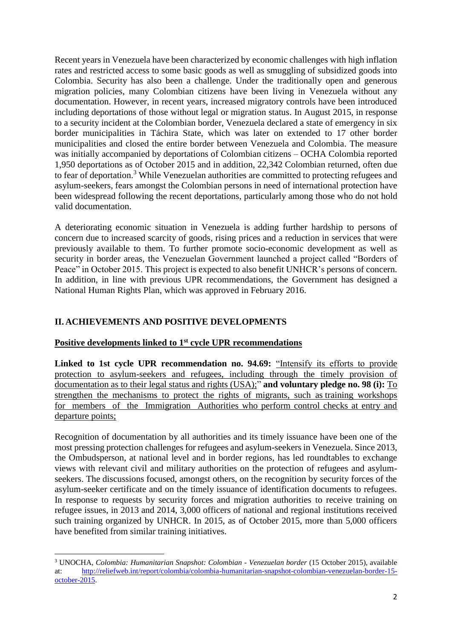Recent years in Venezuela have been characterized by economic challenges with high inflation rates and restricted access to some basic goods as well as smuggling of subsidized goods into Colombia. Security has also been a challenge. Under the traditionally open and generous migration policies, many Colombian citizens have been living in Venezuela without any documentation. However, in recent years, increased migratory controls have been introduced including deportations of those without legal or migration status. In August 2015, in response to a security incident at the Colombian border, Venezuela declared a state of emergency in six border municipalities in Táchira State, which was later on extended to 17 other border municipalities and closed the entire border between Venezuela and Colombia. The measure was initially accompanied by deportations of Colombian citizens – OCHA Colombia reported 1,950 deportations as of October 2015 and in addition, 22,342 Colombian returned, often due to fear of deportation.<sup>3</sup> While Venezuelan authorities are committed to protecting refugees and asylum-seekers, fears amongst the Colombian persons in need of international protection have been widespread following the recent deportations, particularly among those who do not hold valid documentation.

A deteriorating economic situation in Venezuela is adding further hardship to persons of concern due to increased scarcity of goods, rising prices and a reduction in services that were previously available to them. To further promote socio-economic development as well as security in border areas, the Venezuelan Government launched a project called "Borders of Peace" in October 2015. This project is expected to also benefit UNHCR's persons of concern. In addition, in line with previous UPR recommendations, the Government has designed a National Human Rights Plan, which was approved in February 2016.

# **II. ACHIEVEMENTS AND POSITIVE DEVELOPMENTS**

1

## **Positive developments linked to 1st cycle UPR recommendations**

**Linked to 1st cycle UPR recommendation no. 94.69:** "Intensify its efforts to provide protection to asylum-seekers and refugees, including through the timely provision of documentation as to their legal status and rights (USA);" **and voluntary pledge no. 98 (i):** To strengthen the mechanisms to protect the rights of migrants, such as training workshops for members of the Immigration Authorities who perform control checks at entry and departure points;

Recognition of documentation by all authorities and its timely issuance have been one of the most pressing protection challenges for refugees and asylum-seekers in Venezuela. Since 2013, the Ombudsperson, at national level and in border regions, has led roundtables to exchange views with relevant civil and military authorities on the protection of refugees and asylumseekers. The discussions focused, amongst others, on the recognition by security forces of the asylum-seeker certificate and on the timely issuance of identification documents to refugees. In response to requests by security forces and migration authorities to receive training on refugee issues, in 2013 and 2014, 3,000 officers of national and regional institutions received such training organized by UNHCR. In 2015, as of October 2015, more than 5,000 officers have benefited from similar training initiatives.

<sup>3</sup> UNOCHA, *Colombia: Humanitarian Snapshot: Colombian - Venezuelan border* (15 October 2015), available at: [http://reliefweb.int/report/colombia/colombia-humanitarian-snapshot-colombian-venezuelan-border-15](http://reliefweb.int/report/colombia/colombia-humanitarian-snapshot-colombian-venezuelan-border-15-october-2015) [october-2015.](http://reliefweb.int/report/colombia/colombia-humanitarian-snapshot-colombian-venezuelan-border-15-october-2015)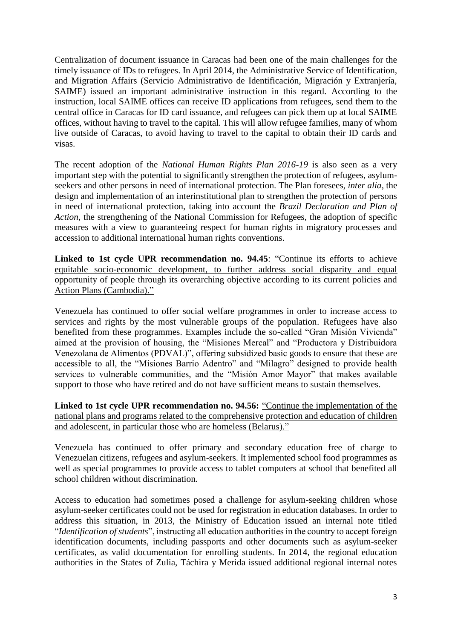Centralization of document issuance in Caracas had been one of the main challenges for the timely issuance of IDs to refugees. In April 2014, the Administrative Service of Identification, and Migration Affairs (Servicio Administrativo de Identificación, Migración y Extranjería, SAIME) issued an important administrative instruction in this regard. According to the instruction, local SAIME offices can receive ID applications from refugees, send them to the central office in Caracas for ID card issuance, and refugees can pick them up at local SAIME offices, without having to travel to the capital. This will allow refugee families, many of whom live outside of Caracas, to avoid having to travel to the capital to obtain their ID cards and visas.

The recent adoption of the *National Human Rights Plan 2016-19* is also seen as a very important step with the potential to significantly strengthen the protection of refugees, asylumseekers and other persons in need of international protection. The Plan foresees, *inter alia*, the design and implementation of an interinstitutional plan to strengthen the protection of persons in need of international protection, taking into account the *Brazil Declaration and Plan of Action*, the strengthening of the National Commission for Refugees, the adoption of specific measures with a view to guaranteeing respect for human rights in migratory processes and accession to additional international human rights conventions.

**Linked to 1st cycle UPR recommendation no. 94.45**: "Continue its efforts to achieve equitable socio-economic development, to further address social disparity and equal opportunity of people through its overarching objective according to its current policies and Action Plans (Cambodia)."

Venezuela has continued to offer social welfare programmes in order to increase access to services and rights by the most vulnerable groups of the population. Refugees have also benefited from these programmes. Examples include the so-called "Gran Misión Vivienda" aimed at the provision of housing, the "Misiones Mercal" and "Productora y Distribuidora Venezolana de Alimentos (PDVAL)", offering subsidized basic goods to ensure that these are accessible to all, the "Misiones Barrio Adentro" and "Milagro" designed to provide health services to vulnerable communities, and the "Misión Amor Mayor" that makes available support to those who have retired and do not have sufficient means to sustain themselves.

**Linked to 1st cycle UPR recommendation no. 94.56:** "Continue the implementation of the national plans and programs related to the comprehensive protection and education of children and adolescent, in particular those who are homeless (Belarus)."

Venezuela has continued to offer primary and secondary education free of charge to Venezuelan citizens, refugees and asylum-seekers. It implemented school food programmes as well as special programmes to provide access to tablet computers at school that benefited all school children without discrimination.

Access to education had sometimes posed a challenge for asylum-seeking children whose asylum-seeker certificates could not be used for registration in education databases. In order to address this situation, in 2013, the Ministry of Education issued an internal note titled "*Identification of students*", instructing all education authorities in the country to accept foreign identification documents, including passports and other documents such as asylum-seeker certificates, as valid documentation for enrolling students. In 2014, the regional education authorities in the States of Zulia, Táchira y Merida issued additional regional internal notes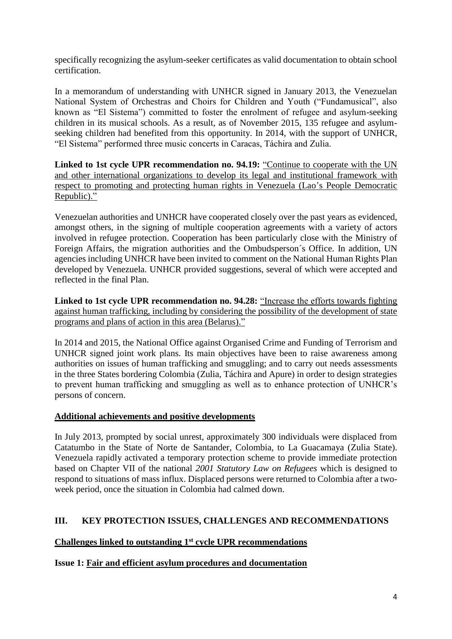specifically recognizing the asylum-seeker certificates as valid documentation to obtain school certification.

In a memorandum of understanding with UNHCR signed in January 2013, the Venezuelan National System of Orchestras and Choirs for Children and Youth ("Fundamusical", also known as "El Sistema") committed to foster the enrolment of refugee and asylum-seeking children in its musical schools. As a result, as of November 2015, 135 refugee and asylumseeking children had benefited from this opportunity. In 2014, with the support of UNHCR, "El Sistema" performed three music concerts in Caracas, Táchira and Zulia.

**Linked to 1st cycle UPR recommendation no. 94.19:** "Continue to cooperate with the UN and other international organizations to develop its legal and institutional framework with respect to promoting and protecting human rights in Venezuela (Lao's People Democratic Republic)."

Venezuelan authorities and UNHCR have cooperated closely over the past years as evidenced, amongst others, in the signing of multiple cooperation agreements with a variety of actors involved in refugee protection. Cooperation has been particularly close with the Ministry of Foreign Affairs, the migration authorities and the Ombudsperson´s Office. In addition, UN agencies including UNHCR have been invited to comment on the National Human Rights Plan developed by Venezuela. UNHCR provided suggestions, several of which were accepted and reflected in the final Plan.

**Linked to 1st cycle UPR recommendation no. 94.28:** "Increase the efforts towards fighting against human trafficking, including by considering the possibility of the development of state programs and plans of action in this area (Belarus)."

In 2014 and 2015, the National Office against Organised Crime and Funding of Terrorism and UNHCR signed joint work plans. Its main objectives have been to raise awareness among authorities on issues of human trafficking and smuggling; and to carry out needs assessments in the three States bordering Colombia (Zulia, Táchira and Apure) in order to design strategies to prevent human trafficking and smuggling as well as to enhance protection of UNHCR's persons of concern.

# **Additional achievements and positive developments**

In July 2013, prompted by social unrest, approximately 300 individuals were displaced from Catatumbo in the State of Norte de Santander, Colombia, to La Guacamaya (Zulia State). Venezuela rapidly activated a temporary protection scheme to provide immediate protection based on Chapter VII of the national *2001 Statutory Law on Refugees* which is designed to respond to situations of mass influx. Displaced persons were returned to Colombia after a twoweek period, once the situation in Colombia had calmed down.

# **III. KEY PROTECTION ISSUES, CHALLENGES AND RECOMMENDATIONS**

# **Challenges linked to outstanding 1st cycle UPR recommendations**

# **Issue 1: Fair and efficient asylum procedures and documentation**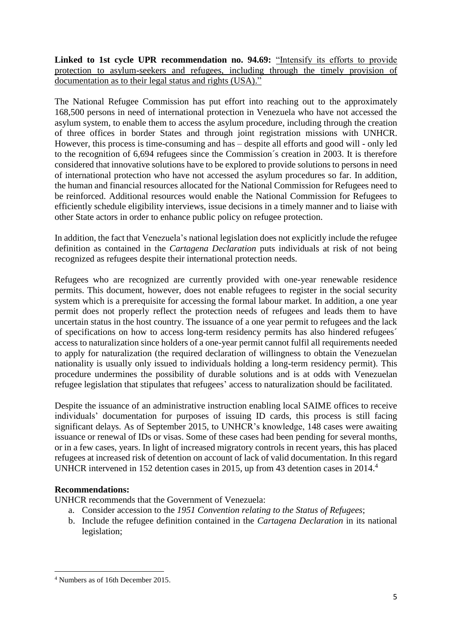**Linked to 1st cycle UPR recommendation no. 94.69:** "Intensify its efforts to provide protection to asylum-seekers and refugees, including through the timely provision of documentation as to their legal status and rights (USA)."

The National Refugee Commission has put effort into reaching out to the approximately 168,500 persons in need of international protection in Venezuela who have not accessed the asylum system, to enable them to access the asylum procedure, including through the creation of three offices in border States and through joint registration missions with UNHCR. However, this process is time-consuming and has – despite all efforts and good will - only led to the recognition of 6,694 refugees since the Commission´s creation in 2003. It is therefore considered that innovative solutions have to be explored to provide solutions to persons in need of international protection who have not accessed the asylum procedures so far. In addition, the human and financial resources allocated for the National Commission for Refugees need to be reinforced. Additional resources would enable the National Commission for Refugees to efficiently schedule eligibility interviews, issue decisions in a timely manner and to liaise with other State actors in order to enhance public policy on refugee protection.

In addition, the fact that Venezuela's national legislation does not explicitly include the refugee definition as contained in the *Cartagena Declaration* puts individuals at risk of not being recognized as refugees despite their international protection needs.

Refugees who are recognized are currently provided with one-year renewable residence permits. This document, however, does not enable refugees to register in the social security system which is a prerequisite for accessing the formal labour market. In addition, a one year permit does not properly reflect the protection needs of refugees and leads them to have uncertain status in the host country. The issuance of a one year permit to refugees and the lack of specifications on how to access long-term residency permits has also hindered refugees´ access to naturalization since holders of a one-year permit cannot fulfil all requirements needed to apply for naturalization (the required declaration of willingness to obtain the Venezuelan nationality is usually only issued to individuals holding a long-term residency permit). This procedure undermines the possibility of durable solutions and is at odds with Venezuelan refugee legislation that stipulates that refugees' access to naturalization should be facilitated.

Despite the issuance of an administrative instruction enabling local SAIME offices to receive individuals' documentation for purposes of issuing ID cards, this process is still facing significant delays. As of September 2015, to UNHCR's knowledge, 148 cases were awaiting issuance or renewal of IDs or visas. Some of these cases had been pending for several months, or in a few cases, years. In light of increased migratory controls in recent years, this has placed refugees at increased risk of detention on account of lack of valid documentation. In this regard UNHCR intervened in 152 detention cases in 2015, up from 43 detention cases in 2014. 4

## **Recommendations:**

UNHCR recommends that the Government of Venezuela:

- a. Consider accession to the *1951 Convention relating to the Status of Refugees*;
- b. Include the refugee definition contained in the *Cartagena Declaration* in its national legislation;

**<sup>.</sup>** <sup>4</sup> Numbers as of 16th December 2015.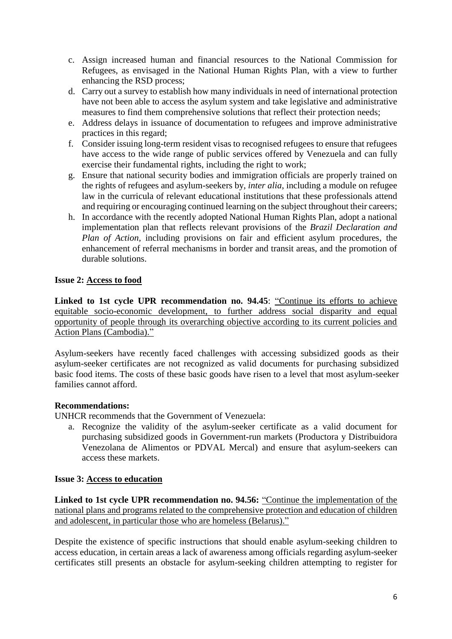- c. Assign increased human and financial resources to the National Commission for Refugees, as envisaged in the National Human Rights Plan, with a view to further enhancing the RSD process;
- d. Carry out a survey to establish how many individuals in need of international protection have not been able to access the asylum system and take legislative and administrative measures to find them comprehensive solutions that reflect their protection needs;
- e. Address delays in issuance of documentation to refugees and improve administrative practices in this regard;
- f. Consider issuing long-term resident visas to recognised refugees to ensure that refugees have access to the wide range of public services offered by Venezuela and can fully exercise their fundamental rights, including the right to work;
- g. Ensure that national security bodies and immigration officials are properly trained on the rights of refugees and asylum-seekers by, *inter alia*, including a module on refugee law in the curricula of relevant educational institutions that these professionals attend and requiring or encouraging continued learning on the subject throughout their careers;
- h. In accordance with the recently adopted National Human Rights Plan, adopt a national implementation plan that reflects relevant provisions of the *Brazil Declaration and Plan of Action,* including provisions on fair and efficient asylum procedures, the enhancement of referral mechanisms in border and transit areas, and the promotion of durable solutions.

## **Issue 2: Access to food**

**Linked to 1st cycle UPR recommendation no. 94.45**: "Continue its efforts to achieve equitable socio-economic development, to further address social disparity and equal opportunity of people through its overarching objective according to its current policies and Action Plans (Cambodia)."

Asylum-seekers have recently faced challenges with accessing subsidized goods as their asylum-seeker certificates are not recognized as valid documents for purchasing subsidized basic food items. The costs of these basic goods have risen to a level that most asylum-seeker families cannot afford.

## **Recommendations:**

UNHCR recommends that the Government of Venezuela:

a. Recognize the validity of the asylum-seeker certificate as a valid document for purchasing subsidized goods in Government-run markets (Productora y Distribuidora Venezolana de Alimentos or PDVAL Mercal) and ensure that asylum-seekers can access these markets.

## **Issue 3: Access to education**

**Linked to 1st cycle UPR recommendation no. 94.56:** "Continue the implementation of the national plans and programs related to the comprehensive protection and education of children and adolescent, in particular those who are homeless (Belarus)."

Despite the existence of specific instructions that should enable asylum-seeking children to access education, in certain areas a lack of awareness among officials regarding asylum-seeker certificates still presents an obstacle for asylum-seeking children attempting to register for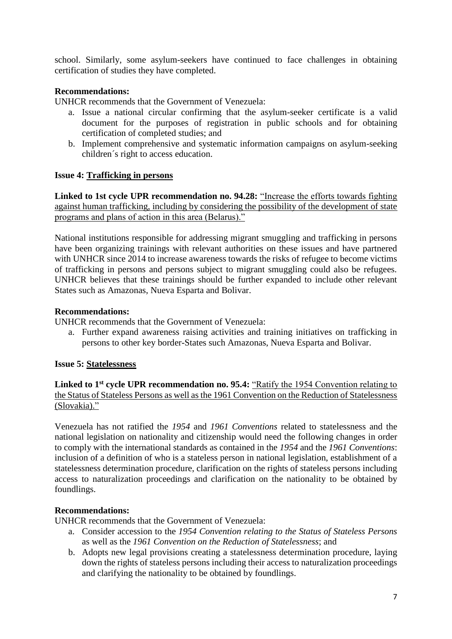school. Similarly, some asylum-seekers have continued to face challenges in obtaining certification of studies they have completed.

## **Recommendations:**

UNHCR recommends that the Government of Venezuela:

- a. Issue a national circular confirming that the asylum-seeker certificate is a valid document for the purposes of registration in public schools and for obtaining certification of completed studies; and
- b. Implement comprehensive and systematic information campaigns on asylum-seeking children´s right to access education.

## **Issue 4: Trafficking in persons**

**Linked to 1st cycle UPR recommendation no. 94.28:** "Increase the efforts towards fighting against human trafficking, including by considering the possibility of the development of state programs and plans of action in this area (Belarus)."

National institutions responsible for addressing migrant smuggling and trafficking in persons have been organizing trainings with relevant authorities on these issues and have partnered with UNHCR since 2014 to increase awareness towards the risks of refugee to become victims of trafficking in persons and persons subject to migrant smuggling could also be refugees. UNHCR believes that these trainings should be further expanded to include other relevant States such as Amazonas, Nueva Esparta and Bolivar.

#### **Recommendations:**

UNHCR recommends that the Government of Venezuela:

a. Further expand awareness raising activities and training initiatives on trafficking in persons to other key border-States such Amazonas, Nueva Esparta and Bolivar.

## **Issue 5: Statelessness**

**Linked to 1st cycle UPR recommendation no. 95.4:** "Ratify the 1954 Convention relating to the Status of Stateless Persons as well as the 1961 Convention on the Reduction of Statelessness (Slovakia)."

Venezuela has not ratified the *1954* and *1961 Conventions* related to statelessness and the national legislation on nationality and citizenship would need the following changes in order to comply with the international standards as contained in the *1954* and the *1961 Conventions*: inclusion of a definition of who is a stateless person in national legislation, establishment of a statelessness determination procedure, clarification on the rights of stateless persons including access to naturalization proceedings and clarification on the nationality to be obtained by foundlings.

## **Recommendations:**

UNHCR recommends that the Government of Venezuela:

- a. Consider accession to the *1954 Convention relating to the Status of Stateless Persons*  as well as the *1961 Convention on the Reduction of Statelessness*; and
- b. Adopts new legal provisions creating a statelessness determination procedure, laying down the rights of stateless persons including their access to naturalization proceedings and clarifying the nationality to be obtained by foundlings.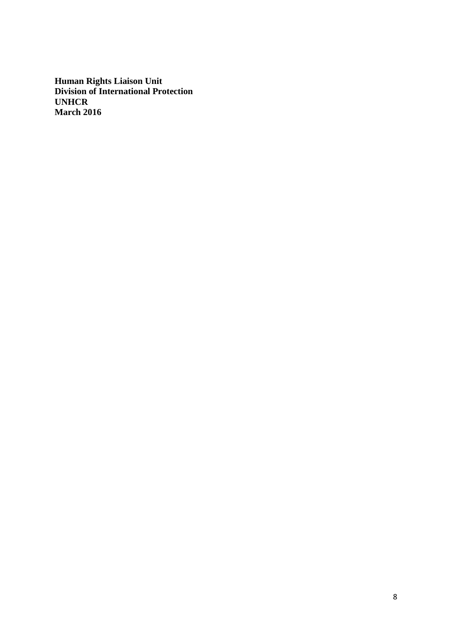**Human Rights Liaison Unit Division of International Protection UNHCR March 2016**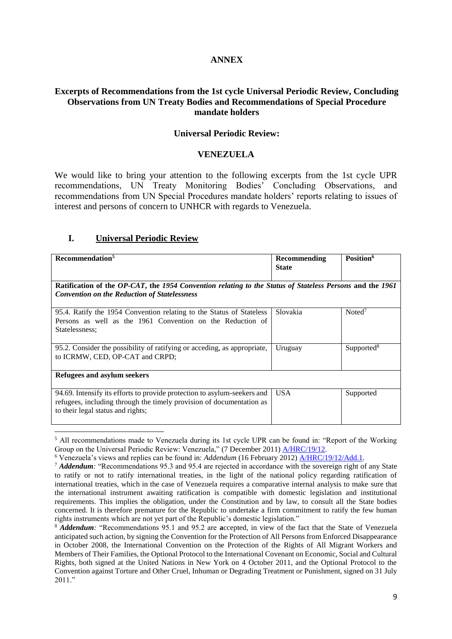#### **ANNEX**

#### **Excerpts of Recommendations from the 1st cycle Universal Periodic Review, Concluding Observations from UN Treaty Bodies and Recommendations of Special Procedure mandate holders**

#### **Universal Periodic Review:**

#### **VENEZUELA**

We would like to bring your attention to the following excerpts from the 1st cycle UPR recommendations, UN Treaty Monitoring Bodies' Concluding Observations, and recommendations from UN Special Procedures mandate holders' reports relating to issues of interest and persons of concern to UNHCR with regards to Venezuela.

## **I. Universal Periodic Review**

**.** 

| Recommendation <sup>5</sup>                                                                                                                                                           | Recommending<br><b>State</b> | Position <sup>6</sup>  |  |
|---------------------------------------------------------------------------------------------------------------------------------------------------------------------------------------|------------------------------|------------------------|--|
| Ratification of the OP-CAT, the 1954 Convention relating to the Status of Stateless Persons and the 1961<br><b>Convention on the Reduction of Statelessness</b>                       |                              |                        |  |
| 95.4. Ratify the 1954 Convention relating to the Status of Stateless<br>Persons as well as the 1961 Convention on the Reduction of<br>Statelessness:                                  | Slovakia                     | Noted <sup>7</sup>     |  |
| 95.2. Consider the possibility of ratifying or acceding, as appropriate,<br>to ICRMW, CED, OP-CAT and CRPD;                                                                           | Uruguay                      | Supported <sup>8</sup> |  |
| Refugees and asylum seekers                                                                                                                                                           |                              |                        |  |
| 94.69. Intensify its efforts to provide protection to asylum-seekers and<br>refugees, including through the timely provision of documentation as<br>to their legal status and rights; | <b>USA</b>                   | Supported              |  |

<sup>5</sup> All recommendations made to Venezuela during its 1st cycle UPR can be found in: "Report of the Working Group on the Universal Periodic Review: Venezuela," (7 December 2011) [A/HRC/19/12.](http://www.ohchr.org/EN/HRBodies/UPR/Pages/VESession12.aspx)

<sup>6</sup> Venezuela's views and replies can be found in: *Addendum* (16 February 2012) [A/HRC/19/12/Add.1.](http://www.ohchr.org/EN/HRBodies/UPR/Pages/VESession12.aspx)

<sup>7</sup> *Addendum:* "Recommendations 95.3 and 95.4 are rejected in accordance with the sovereign right of any State to ratify or not to ratify international treaties, in the light of the national policy regarding ratification of international treaties, which in the case of Venezuela requires a comparative internal analysis to make sure that the international instrument awaiting ratification is compatible with domestic legislation and institutional requirements. This implies the obligation, under the Constitution and by law, to consult all the State bodies concerned. It is therefore premature for the Republic to undertake a firm commitment to ratify the few human rights instruments which are not yet part of the Republic's domestic legislation."

<sup>8</sup> *Addendum:* "Recommendations 95.1 and 95.2 are **a**ccepted, in view of the fact that the State of Venezuela anticipated such action, by signing the Convention for the Protection of All Persons from Enforced Disappearance in October 2008, the International Convention on the Protection of the Rights of All Migrant Workers and Members of Their Families, the Optional Protocol to the International Covenant on Economic, Social and Cultural Rights, both signed at the United Nations in New York on 4 October 2011, and the Optional Protocol to the Convention against Torture and Other Cruel, Inhuman or Degrading Treatment or Punishment, signed on 31 July 2011."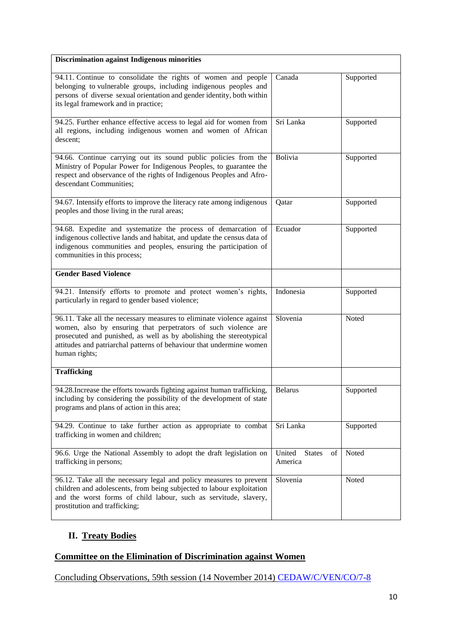| <b>Discrimination against Indigenous minorities</b>                                                                                                                                                                                                                                                    |                                          |           |
|--------------------------------------------------------------------------------------------------------------------------------------------------------------------------------------------------------------------------------------------------------------------------------------------------------|------------------------------------------|-----------|
| 94.11. Continue to consolidate the rights of women and people<br>belonging to vulnerable groups, including indigenous peoples and<br>persons of diverse sexual orientation and gender identity, both within<br>its legal framework and in practice;                                                    | Canada                                   | Supported |
| 94.25. Further enhance effective access to legal aid for women from<br>all regions, including indigenous women and women of African<br>descent;                                                                                                                                                        | Sri Lanka                                | Supported |
| 94.66. Continue carrying out its sound public policies from the<br>Ministry of Popular Power for Indigenous Peoples, to guarantee the<br>respect and observance of the rights of Indigenous Peoples and Afro-<br>descendant Communities;                                                               | Bolivia                                  | Supported |
| 94.67. Intensify efforts to improve the literacy rate among indigenous<br>peoples and those living in the rural areas;                                                                                                                                                                                 | Qatar                                    | Supported |
| 94.68. Expedite and systematize the process of demarcation of<br>indigenous collective lands and habitat, and update the census data of<br>indigenous communities and peoples, ensuring the participation of<br>communities in this process;                                                           | Ecuador                                  | Supported |
| <b>Gender Based Violence</b>                                                                                                                                                                                                                                                                           |                                          |           |
| 94.21. Intensify efforts to promote and protect women's rights,<br>particularly in regard to gender based violence;                                                                                                                                                                                    | Indonesia                                | Supported |
| 96.11. Take all the necessary measures to eliminate violence against<br>women, also by ensuring that perpetrators of such violence are<br>prosecuted and punished, as well as by abolishing the stereotypical<br>attitudes and patriarchal patterns of behaviour that undermine women<br>human rights; | Slovenia                                 | Noted     |
| <b>Trafficking</b>                                                                                                                                                                                                                                                                                     |                                          |           |
| 94.28. Increase the efforts towards fighting against human trafficking,<br>including by considering the possibility of the development of state<br>programs and plans of action in this area;                                                                                                          | <b>Belarus</b>                           | Supported |
| 94.29. Continue to take further action as appropriate to combat<br>trafficking in women and children;                                                                                                                                                                                                  | Sri Lanka                                | Supported |
| 96.6. Urge the National Assembly to adopt the draft legislation on<br>trafficking in persons;                                                                                                                                                                                                          | United<br><b>States</b><br>of<br>America | Noted     |
| 96.12. Take all the necessary legal and policy measures to prevent<br>children and adolescents, from being subjected to labour exploitation<br>and the worst forms of child labour, such as servitude, slavery,<br>prostitution and trafficking;                                                       | Slovenia                                 | Noted     |

# **II. Treaty Bodies**

# **Committee on the Elimination of Discrimination against Women**

Concluding Observations, 59th session (14 November 2014) [CEDAW/C/VEN/CO/7-8](http://tbinternet.ohchr.org/_layouts/treatybodyexternal/Download.aspx?symbolno=CEDAW/C/VEN/CO/7-8&Lang=En)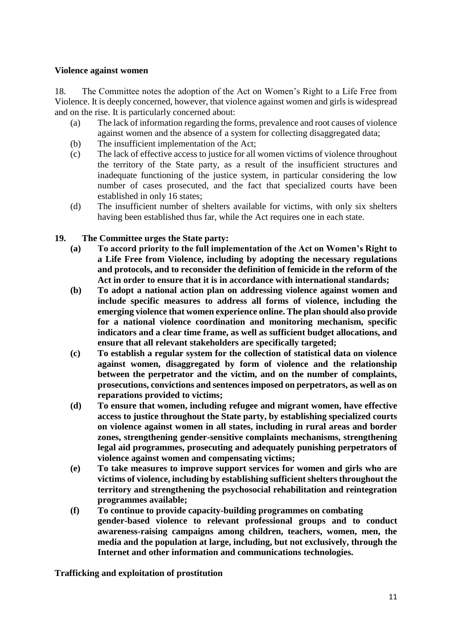#### **Violence against women**

18. The Committee notes the adoption of the Act on Women's Right to a Life Free from Violence. It is deeply concerned, however, that violence against women and girls is widespread and on the rise. It is particularly concerned about:

- (a) The lack of information regarding the forms, prevalence and root causes of violence against women and the absence of a system for collecting disaggregated data;
- (b) The insufficient implementation of the Act;
- (c) The lack of effective access to justice for all women victims of violence throughout the territory of the State party, as a result of the insufficient structures and inadequate functioning of the justice system, in particular considering the low number of cases prosecuted, and the fact that specialized courts have been established in only 16 states;
- (d) The insufficient number of shelters available for victims, with only six shelters having been established thus far, while the Act requires one in each state.

## **19. The Committee urges the State party:**

- **(a) To accord priority to the full implementation of the Act on Women's Right to a Life Free from Violence, including by adopting the necessary regulations and protocols, and to reconsider the definition of femicide in the reform of the Act in order to ensure that it is in accordance with international standards;**
- **(b) To adopt a national action plan on addressing violence against women and include specific measures to address all forms of violence, including the emerging violence that women experience online. The plan should also provide for a national violence coordination and monitoring mechanism, specific indicators and a clear time frame, as well as sufficient budget allocations, and ensure that all relevant stakeholders are specifically targeted;**
- **(c) To establish a regular system for the collection of statistical data on violence against women, disaggregated by form of violence and the relationship between the perpetrator and the victim, and on the number of complaints, prosecutions, convictions and sentences imposed on perpetrators, as well as on reparations provided to victims;**
- **(d) To ensure that women, including refugee and migrant women, have effective access to justice throughout the State party, by establishing specialized courts on violence against women in all states, including in rural areas and border zones, strengthening gender-sensitive complaints mechanisms, strengthening legal aid programmes, prosecuting and adequately punishing perpetrators of violence against women and compensating victims;**
- **(e) To take measures to improve support services for women and girls who are victims of violence, including by establishing sufficient shelters throughout the territory and strengthening the psychosocial rehabilitation and reintegration programmes available;**
- **(f) To continue to provide capacity-building programmes on combating gender-based violence to relevant professional groups and to conduct awareness-raising campaigns among children, teachers, women, men, the media and the population at large, including, but not exclusively, through the Internet and other information and communications technologies.**

**Trafficking and exploitation of prostitution**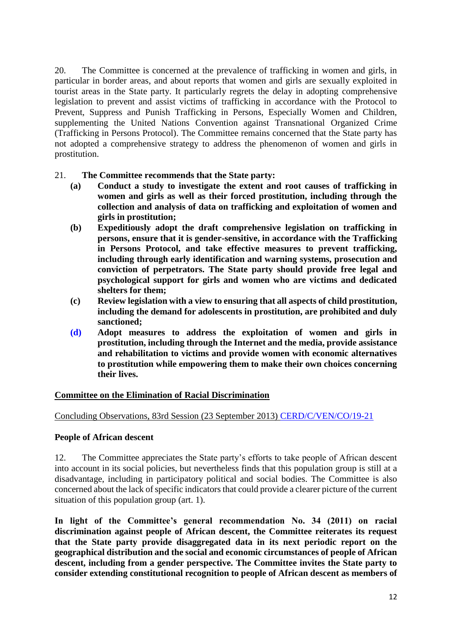20. The Committee is concerned at the prevalence of trafficking in women and girls, in particular in border areas, and about reports that women and girls are sexually exploited in tourist areas in the State party. It particularly regrets the delay in adopting comprehensive legislation to prevent and assist victims of trafficking in accordance with the Protocol to Prevent, Suppress and Punish Trafficking in Persons, Especially Women and Children, supplementing the United Nations Convention against Transnational Organized Crime (Trafficking in Persons Protocol). The Committee remains concerned that the State party has not adopted a comprehensive strategy to address the phenomenon of women and girls in prostitution.

- 21. **The Committee recommends that the State party:** 
	- **(a) Conduct a study to investigate the extent and root causes of trafficking in women and girls as well as their forced prostitution, including through the collection and analysis of data on trafficking and exploitation of women and girls in prostitution;**
	- **(b) Expeditiously adopt the draft comprehensive legislation on trafficking in persons, ensure that it is gender-sensitive, in accordance with the Trafficking in Persons Protocol, and take effective measures to prevent trafficking, including through early identification and warning systems, prosecution and conviction of perpetrators. The State party should provide free legal and psychological support for girls and women who are victims and dedicated shelters for them;**
	- **(c) Review legislation with a view to ensuring that all aspects of child prostitution, including the demand for adolescents in prostitution, are prohibited and duly sanctioned;**
	- **(d) Adopt measures to address the exploitation of women and girls in prostitution, including through the Internet and the media, provide assistance and rehabilitation to victims and provide women with economic alternatives to prostitution while empowering them to make their own choices concerning their lives.**

## **Committee on the Elimination of Racial Discrimination**

Concluding Observations, 83rd Session (23 September 2013) [CERD/C/VEN/CO/19-21](http://tbinternet.ohchr.org/_layouts/treatybodyexternal/Download.aspx?symbolno=CERD/C/VEN/CO/19-21&Lang=En)

## **People of African descent**

12. The Committee appreciates the State party's efforts to take people of African descent into account in its social policies, but nevertheless finds that this population group is still at a disadvantage, including in participatory political and social bodies. The Committee is also concerned about the lack of specific indicators that could provide a clearer picture of the current situation of this population group (art. 1).

**In light of the Committee's general recommendation No. 34 (2011) on racial discrimination against people of African descent, the Committee reiterates its request that the State party provide disaggregated data in its next periodic report on the geographical distribution and the social and economic circumstances of people of African descent, including from a gender perspective. The Committee invites the State party to consider extending constitutional recognition to people of African descent as members of**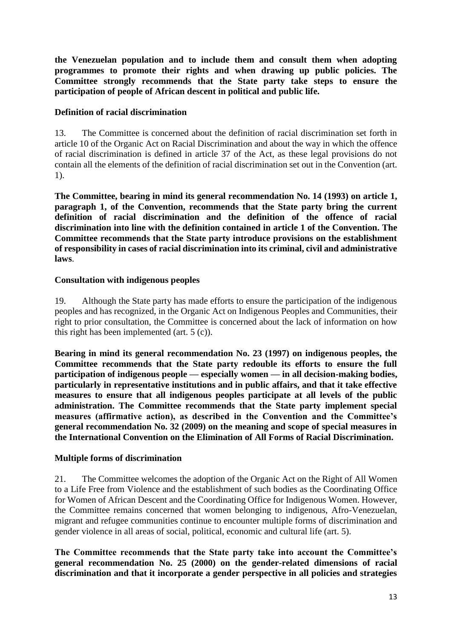**the Venezuelan population and to include them and consult them when adopting programmes to promote their rights and when drawing up public policies. The Committee strongly recommends that the State party take steps to ensure the participation of people of African descent in political and public life.**

## **Definition of racial discrimination**

13. The Committee is concerned about the definition of racial discrimination set forth in article 10 of the Organic Act on Racial Discrimination and about the way in which the offence of racial discrimination is defined in article 37 of the Act, as these legal provisions do not contain all the elements of the definition of racial discrimination set out in the Convention (art. 1).

**The Committee, bearing in mind its general recommendation No. 14 (1993) on article 1, paragraph 1, of the Convention, recommends that the State party bring the current definition of racial discrimination and the definition of the offence of racial discrimination into line with the definition contained in article 1 of the Convention. The Committee recommends that the State party introduce provisions on the establishment of responsibility in cases of racial discrimination into its criminal, civil and administrative laws**.

#### **Consultation with indigenous peoples**

19. Although the State party has made efforts to ensure the participation of the indigenous peoples and has recognized, in the Organic Act on Indigenous Peoples and Communities, their right to prior consultation, the Committee is concerned about the lack of information on how this right has been implemented (art. 5 (c)).

**Bearing in mind its general recommendation No. 23 (1997) on indigenous peoples, the Committee recommends that the State party redouble its efforts to ensure the full participation of indigenous people — especially women — in all decision-making bodies, particularly in representative institutions and in public affairs, and that it take effective measures to ensure that all indigenous peoples participate at all levels of the public administration. The Committee recommends that the State party implement special measures (affirmative action), as described in the Convention and the Committee's general recommendation No. 32 (2009) on the meaning and scope of special measures in the International Convention on the Elimination of All Forms of Racial Discrimination.**

## **Multiple forms of discrimination**

21. The Committee welcomes the adoption of the Organic Act on the Right of All Women to a Life Free from Violence and the establishment of such bodies as the Coordinating Office for Women of African Descent and the Coordinating Office for Indigenous Women. However, the Committee remains concerned that women belonging to indigenous, Afro-Venezuelan, migrant and refugee communities continue to encounter multiple forms of discrimination and gender violence in all areas of social, political, economic and cultural life (art. 5).

**The Committee recommends that the State party take into account the Committee's general recommendation No. 25 (2000) on the gender-related dimensions of racial discrimination and that it incorporate a gender perspective in all policies and strategies**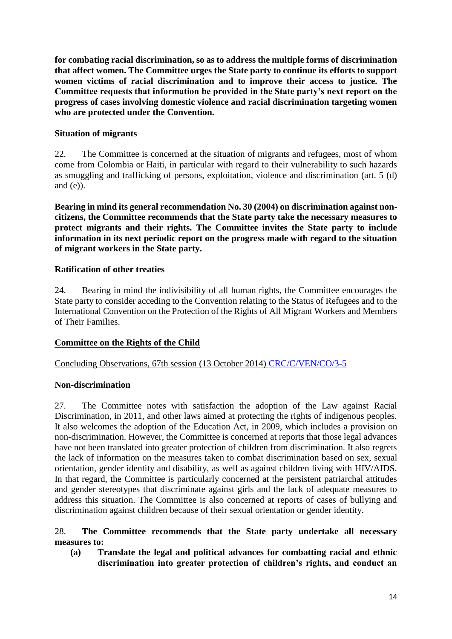**for combating racial discrimination, so as to address the multiple forms of discrimination that affect women. The Committee urges the State party to continue its efforts to support women victims of racial discrimination and to improve their access to justice. The Committee requests that information be provided in the State party's next report on the progress of cases involving domestic violence and racial discrimination targeting women who are protected under the Convention.**

## **Situation of migrants**

22. The Committee is concerned at the situation of migrants and refugees, most of whom come from Colombia or Haiti, in particular with regard to their vulnerability to such hazards as smuggling and trafficking of persons, exploitation, violence and discrimination (art. 5 (d) and  $(e)$ ).

**Bearing in mind its general recommendation No. 30 (2004) on discrimination against noncitizens, the Committee recommends that the State party take the necessary measures to protect migrants and their rights. The Committee invites the State party to include information in its next periodic report on the progress made with regard to the situation of migrant workers in the State party.**

## **Ratification of other treaties**

24. Bearing in mind the indivisibility of all human rights, the Committee encourages the State party to consider acceding to the Convention relating to the Status of Refugees and to the International Convention on the Protection of the Rights of All Migrant Workers and Members of Their Families.

# **Committee on the Rights of the Child**

# Concluding Observations, 67th session (13 October 2014) [CRC/C/VEN/CO/3-5](http://tbinternet.ohchr.org/_layouts/treatybodyexternal/Download.aspx?symbolno=CRC/C/VEN/CO/3-5&Lang=En)

## **Non-discrimination**

27. The Committee notes with satisfaction the adoption of the Law against Racial Discrimination, in 2011, and other laws aimed at protecting the rights of indigenous peoples. It also welcomes the adoption of the Education Act, in 2009, which includes a provision on non-discrimination. However, the Committee is concerned at reports that those legal advances have not been translated into greater protection of children from discrimination. It also regrets the lack of information on the measures taken to combat discrimination based on sex, sexual orientation, gender identity and disability, as well as against children living with HIV/AIDS. In that regard, the Committee is particularly concerned at the persistent patriarchal attitudes and gender stereotypes that discriminate against girls and the lack of adequate measures to address this situation. The Committee is also concerned at reports of cases of bullying and discrimination against children because of their sexual orientation or gender identity.

## 28. **The Committee recommends that the State party undertake all necessary measures to:**

**(a) Translate the legal and political advances for combatting racial and ethnic discrimination into greater protection of children's rights, and conduct an**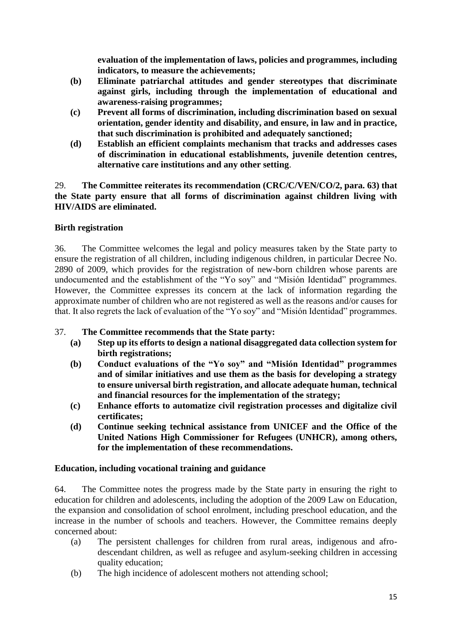**evaluation of the implementation of laws, policies and programmes, including indicators, to measure the achievements;**

- **(b) Eliminate patriarchal attitudes and gender stereotypes that discriminate against girls, including through the implementation of educational and awareness-raising programmes;**
- **(c) Prevent all forms of discrimination, including discrimination based on sexual orientation, gender identity and disability, and ensure, in law and in practice, that such discrimination is prohibited and adequately sanctioned;**
- **(d) Establish an efficient complaints mechanism that tracks and addresses cases of discrimination in educational establishments, juvenile detention centres, alternative care institutions and any other setting**.

29. **The Committee reiterates its recommendation (CRC/C/VEN/CO/2, para. 63) that the State party ensure that all forms of discrimination against children living with HIV/AIDS are eliminated.**

## **Birth registration**

36. The Committee welcomes the legal and policy measures taken by the State party to ensure the registration of all children, including indigenous children, in particular Decree No. 2890 of 2009, which provides for the registration of new-born children whose parents are undocumented and the establishment of the "Yo soy" and "Misión Identidad" programmes. However, the Committee expresses its concern at the lack of information regarding the approximate number of children who are not registered as well as the reasons and/or causes for that. It also regrets the lack of evaluation of the "Yo soy" and "Misión Identidad" programmes.

## 37. **The Committee recommends that the State party:**

- **(a) Step up its efforts to design a national disaggregated data collection system for birth registrations;**
- **(b) Conduct evaluations of the "Yo soy" and "Misión Identidad" programmes and of similar initiatives and use them as the basis for developing a strategy to ensure universal birth registration, and allocate adequate human, technical and financial resources for the implementation of the strategy;**
- **(c) Enhance efforts to automatize civil registration processes and digitalize civil certificates;**
- **(d) Continue seeking technical assistance from UNICEF and the Office of the United Nations High Commissioner for Refugees (UNHCR), among others, for the implementation of these recommendations.**

## **Education, including vocational training and guidance**

64. The Committee notes the progress made by the State party in ensuring the right to education for children and adolescents, including the adoption of the 2009 Law on Education, the expansion and consolidation of school enrolment, including preschool education, and the increase in the number of schools and teachers. However, the Committee remains deeply concerned about:

- (a) The persistent challenges for children from rural areas, indigenous and afrodescendant children, as well as refugee and asylum-seeking children in accessing quality education;
- (b) The high incidence of adolescent mothers not attending school;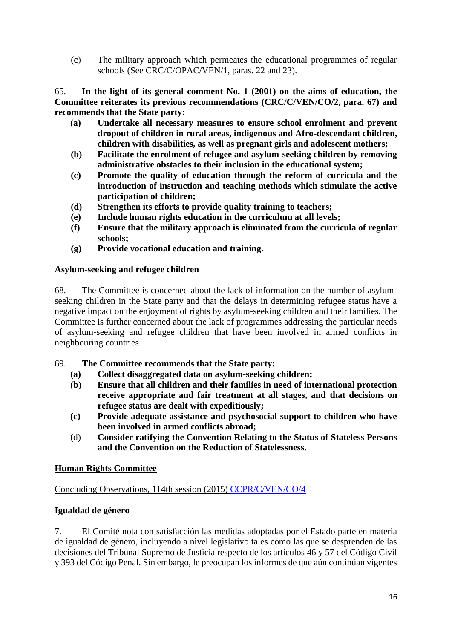(c) The military approach which permeates the educational programmes of regular schools (See CRC/C/OPAC/VEN/1, paras. 22 and 23).

65. **In the light of its general comment No. 1 (2001) on the aims of education, the Committee reiterates its previous recommendations (CRC/C/VEN/CO/2, para. 67) and recommends that the State party:** 

- **(a) Undertake all necessary measures to ensure school enrolment and prevent dropout of children in rural areas, indigenous and Afro-descendant children, children with disabilities, as well as pregnant girls and adolescent mothers;**
- **(b) Facilitate the enrolment of refugee and asylum-seeking children by removing administrative obstacles to their inclusion in the educational system;**
- **(c) Promote the quality of education through the reform of curricula and the introduction of instruction and teaching methods which stimulate the active participation of children;**
- **(d) Strengthen its efforts to provide quality training to teachers;**
- **(e) Include human rights education in the curriculum at all levels;**
- **(f) Ensure that the military approach is eliminated from the curricula of regular schools;**
- **(g) Provide vocational education and training.**

## **Asylum-seeking and refugee children**

68. The Committee is concerned about the lack of information on the number of asylumseeking children in the State party and that the delays in determining refugee status have a negative impact on the enjoyment of rights by asylum-seeking children and their families. The Committee is further concerned about the lack of programmes addressing the particular needs of asylum-seeking and refugee children that have been involved in armed conflicts in neighbouring countries.

## 69. **The Committee recommends that the State party:**

- **(a) Collect disaggregated data on asylum-seeking children;**
- **(b) Ensure that all children and their families in need of international protection receive appropriate and fair treatment at all stages, and that decisions on refugee status are dealt with expeditiously;**
- **(c) Provide adequate assistance and psychosocial support to children who have been involved in armed conflicts abroad;**
- (d) **Consider ratifying the Convention Relating to the Status of Stateless Persons and the Convention on the Reduction of Statelessness**.

# **Human Rights Committee**

## Concluding Observations, 114th session (2015) [CCPR/C/VEN/CO/4](http://tbinternet.ohchr.org/_layouts/treatybodyexternal/Download.aspx?symbolno=CCPR/C/VEN/CO/4&Lang=En)

# **Igualdad de género**

7. El Comité nota con satisfacción las medidas adoptadas por el Estado parte en materia de igualdad de género, incluyendo a nivel legislativo tales como las que se desprenden de las decisiones del Tribunal Supremo de Justicia respecto de los artículos 46 y 57 del Código Civil y 393 del Código Penal. Sin embargo, le preocupan los informes de que aún continúan vigentes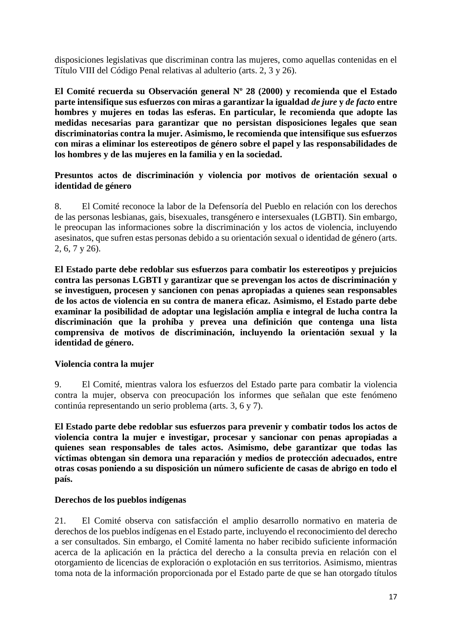disposiciones legislativas que discriminan contra las mujeres, como aquellas contenidas en el Título VIII del Código Penal relativas al adulterio (arts. 2, 3 y 26).

**El Comité recuerda su Observación general Nº 28 (2000) y recomienda que el Estado parte intensifique sus esfuerzos con miras a garantizar la igualdad** *de jure* **y** *de facto* **entre hombres y mujeres en todas las esferas. En particular, le recomienda que adopte las medidas necesarias para garantizar que no persistan disposiciones legales que sean discriminatorias contra la mujer. Asimismo, le recomienda que intensifique sus esfuerzos con miras a eliminar los estereotipos de género sobre el papel y las responsabilidades de los hombres y de las mujeres en la familia y en la sociedad.**

## **Presuntos actos de discriminación y violencia por motivos de orientación sexual o identidad de género**

8. El Comité reconoce la labor de la Defensoría del Pueblo en relación con los derechos de las personas lesbianas, gais, bisexuales, transgénero e intersexuales (LGBTI). Sin embargo, le preocupan las informaciones sobre la discriminación y los actos de violencia, incluyendo asesinatos, que sufren estas personas debido a su orientación sexual o identidad de género (arts. 2, 6, 7 y 26).

**El Estado parte debe redoblar sus esfuerzos para combatir los estereotipos y prejuicios contra las personas LGBTI y garantizar que se prevengan los actos de discriminación y se investiguen, procesen y sancionen con penas apropiadas a quienes sean responsables de los actos de violencia en su contra de manera eficaz. Asimismo, el Estado parte debe examinar la posibilidad de adoptar una legislación amplia e integral de lucha contra la discriminación que la prohíba y prevea una definición que contenga una lista comprensiva de motivos de discriminación, incluyendo la orientación sexual y la identidad de género.**

## **Violencia contra la mujer**

9. El Comité, mientras valora los esfuerzos del Estado parte para combatir la violencia contra la mujer, observa con preocupación los informes que señalan que este fenómeno continúa representando un serio problema (arts. 3, 6 y 7).

**El Estado parte debe redoblar sus esfuerzos para prevenir y combatir todos los actos de violencia contra la mujer e investigar, procesar y sancionar con penas apropiadas a quienes sean responsables de tales actos. Asimismo, debe garantizar que todas las víctimas obtengan sin demora una reparación y medios de protección adecuados, entre otras cosas poniendo a su disposición un número suficiente de casas de abrigo en todo el país.** 

## **Derechos de los pueblos indígenas**

21. El Comité observa con satisfacción el amplio desarrollo normativo en materia de derechos de los pueblos indígenas en el Estado parte, incluyendo el reconocimiento del derecho a ser consultados. Sin embargo, el Comité lamenta no haber recibido suficiente información acerca de la aplicación en la práctica del derecho a la consulta previa en relación con el otorgamiento de licencias de exploración o explotación en sus territorios. Asimismo, mientras toma nota de la información proporcionada por el Estado parte de que se han otorgado títulos